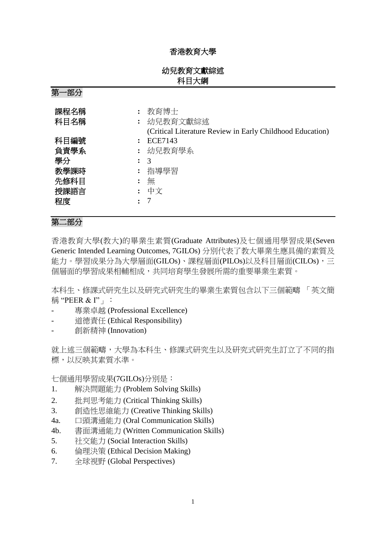## 香港教育大學

# 幼兒教育文獻綜述 科目大綱

| 課程名稱<br>科目名稱 | 教育博士<br>幼兒教育文獻綜述<br>(Critical Literature Review in Early Childhood Education) |
|--------------|-------------------------------------------------------------------------------|
| 科目編號<br>負責學系 | <b>ECE7143</b><br>: 幼兒教育學系                                                    |
| 學分           | 3                                                                             |
| 教學課時         | 指導學習                                                                          |
| 先修科目         | 無                                                                             |
| 授課語言         | 中文                                                                            |
| 程度           |                                                                               |

## 第二部分

第一部分

香港教育大學(教大)的畢業生素質(Graduate Attributes)及七個通用學習成果(Seven Generic Intended Learning Outcomes, 7GILOs) 分別代表了教大畢業生應具備的素質及 能力。學習成果分為大學層面(GILOs)、課程層面(PILOs)以及科目層面(CILOs),三 個層面的學習成果相輔相成,共同培育學生發展所需的重要畢業生素質。

本科生、修課式研究生以及研究式研究生的畢業生素質包含以下三個範疇 「英文簡 稱 "PEER & I"」:

- 專業卓越 (Professional Excellence)
- 道德責任 (Ethical Responsibility)
- 創新精神 (Innovation)

就上述三個範疇,大學為本科生、修課式研究生以及研究式研究生訂立了不同的指 標,以反映其素質水準。

七個通用學習成果(7GILOs)分別是:

- 1. 解決問題能力 (Problem Solving Skills)
- 2. 批判思考能力 (Critical Thinking Skills)
- 3. 創造性思維能力 (Creative Thinking Skills)
- 4a. 口頭溝通能力 (Oral Communication Skills)
- 4b. 書面溝通能力 (Written Communication Skills)
- 5. 社交能力 (Social Interaction Skills)
- 6. 倫理決策 (Ethical Decision Making)
- 7. 全球視野 (Global Perspectives)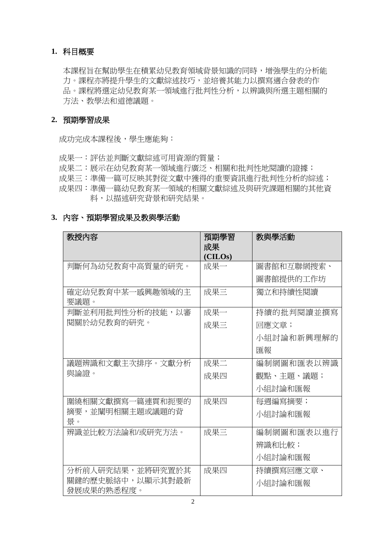## **1.** 科目概要

本課程旨在幫助學生在積累幼兒教育領域背景知識的同時,增強學生的分析能 力。課程亦將提升學生的文獻綜述技巧,並培養其能力以撰寫適合發表的作 品。課程將選定幼兒教育某一領域進行批判性分析,以辨識與所選主題相關的 方法、教學法和道德議題。

## **2.** 預期學習成果

成功完成本課程後,學生應能夠:

成果一:評估並判斷文獻綜述可用資源的質量; 成果二:展示在幼兒教育某一領域進行廣泛、相關和批判性地閱讀的證據; 成果三:準備一篇可反映其對從文獻中獲得的重要資訊進行批判性分析的綜述; 成果四:準備一篇幼兒教育某一領域的相關文獻綜述及與研究課題相關的其他資 料,以描述研究背景和研究結果。

## **3.** 內容、預期學習成果及教與學活動

| 教授內容                           | 預期學習<br>成果<br>(CHLOS) | 教與學活動      |
|--------------------------------|-----------------------|------------|
| 判斷何為幼兒教育中高質量的研究。               | 成果一                   | 圖書館和互聯網搜索、 |
|                                |                       | 圖書館提供的工作坊  |
| 確定幼兒教育中某一感興趣領域的主<br>要議題。       | 成果三                   | 獨立和持續性閱讀   |
| 判斷並利用批判性分析的技能,以審               | 成果一                   | 持續的批判閱讀並撰寫 |
| 閱關於幼兒教育的研究。                    | 成果三                   | 回應文章;      |
|                                |                       | 小組討論和新興理解的 |
|                                |                       | 匯報         |
| 議題辨識和文獻主次排序。文獻分析               | 成果二                   | 編制網圖和匯表以辨識 |
| 與論證。                           | 成果四                   | 觀點、主題、議題;  |
|                                |                       | 小組討論和匯報    |
| 圍繞相關文獻撰寫一篇連貫和扼要的               | 成果四                   | 每週編寫摘要;    |
| 摘要,並闡明相關主題或議題的背<br>景。          |                       | 小組討論和匯報    |
| 辨識並比較方法論和/或研究方法。               | 成果三                   | 编制網圖和匯表以進行 |
|                                |                       | 辨識和比較;     |
|                                |                       | 小組討論和匯報    |
| 分析前人研究結果,並將研究置於其               | 成果四                   | 持續撰寫回應文章、  |
| 關鍵的歷史脈絡中,以顯示其對最新<br>發展成果的熟悉程度。 |                       | 小組討論和匯報    |
|                                |                       |            |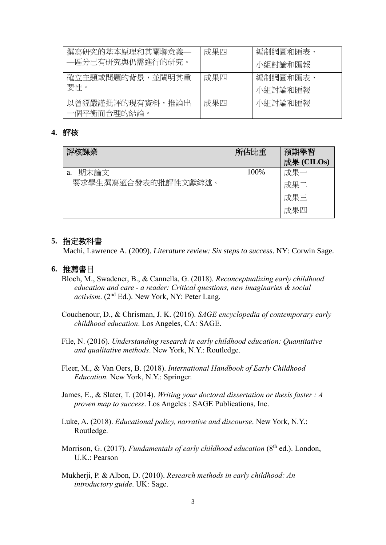| 撰寫研究的基本原理和其關聯意義—                   | 成果四 | 編制網圖和匯表、 |
|------------------------------------|-----|----------|
| —區分已有研究與仍需進行的研究。                   |     | 小組討論和匯報  |
| 確立主題或問題的背景,並闡明其重                   | 成果四 | 編制網圖和匯表、 |
| 要性。                                |     | 小組討論和匯報  |
| 推論出<br>以曾經嚴謹批評的現有資料<br>一個平衡而合理的結論。 | 成果四 | 小組討論和匯報  |

## **4.** 評核

| 評核課業               | 所佔比重 | 預期學習<br>成果 (CILOs) |
|--------------------|------|--------------------|
| 期末論文<br>a.         | 100% | 成果一                |
| 要求學生撰寫適合發表的批評性文獻綜述 |      | 成果二                |
|                    |      | 成果三                |
|                    |      | 成果四                |

#### **5.** 指定教科書

Machi, Lawrence A. (2009). *Literature review: Six steps to success*. NY: Corwin Sage.

## **6.** 推薦書目

- Bloch, M., Swadener, B., & Cannella, G. (2018). *Reconceptualizing early childhood education and care - a reader: Critical questions, new imaginaries & social activism*. (2nd Ed.). New York, NY: Peter Lang.
- Couchenour, D., & Chrisman, J. K. (2016). *SAGE encyclopedia of contemporary early childhood education*. Los Angeles, CA: SAGE.
- File, N. (2016). *Understanding research in early childhood education: Quantitative and qualitative methods*. New York, N.Y.: Routledge.

Fleer, M., & Van Oers, B. (2018). *International Handbook of Early Childhood Education.* New York, N.Y.: Springer.

James, E., & Slater, T. (2014). *Writing your doctoral dissertation or thesis faster : A proven map to success*. Los Angeles : SAGE Publications, Inc.

Luke, A. (2018). *Educational policy, narrative and discourse*. New York, N.Y.: Routledge.

- Morrison, G. (2017). *Fundamentals of early childhood education* (8<sup>th</sup> ed.). London, U.K.: Pearson
- Mukherji, P. & Albon, D. (2010). *Research methods in early childhood: An introductory guide*. UK: Sage.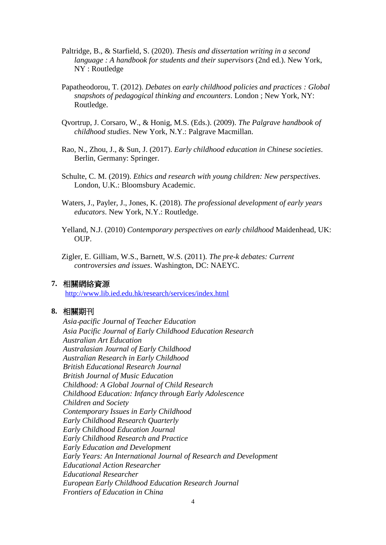- Paltridge, B., & Starfield, S. (2020). *Thesis and dissertation writing in a second language : A handbook for students and their supervisors* (2nd ed.). New York, NY : Routledge
- Papatheodorou, T. (2012). *Debates on early childhood policies and practices : Global snapshots of pedagogical thinking and encounters*. London ; New York, NY: Routledge.
- Qvortrup, J. Corsaro, W., & Honig, M.S. (Eds.). (2009). *The Palgrave handbook of childhood studies*. New York, N.Y.: Palgrave Macmillan.
- Rao, N., Zhou, J., & Sun, J. (2017). *Early childhood education in Chinese societies*. Berlin, Germany: Springer.
- Schulte, C. M. (2019). *Ethics and research with young children: New perspectives*. London, U.K.: Bloomsbury Academic.
- Waters, J., Payler, J., Jones, K. (2018). *The professional development of early years educators*. New York, N.Y.: Routledge.
- Yelland, N.J. (2010) *Contemporary perspectives on early childhood* Maidenhead, UK:  $OUP$ .
- Zigler, E. Gilliam, W.S., Barnett, W.S. (2011). *The pre-k debates: Current controversies and issues*. Washington, DC: NAEYC.

#### **7.** 相關網絡資源

<http://www.lib.ied.edu.hk/research/services/index.html>

## **8.** 相關期刊

*Asia*‐*pacific Journal of Teacher Education Asia Pacific Journal of Early Childhood Education Research Australian Art Education Australasian Journal of Early Childhood Australian Research in Early Childhood British Educational Research Journal British Journal of Music Education Childhood: A Global Journal of Child Research Childhood Education: Infancy through Early Adolescence Children and Society Contemporary Issues in Early Childhood Early Childhood Research Quarterly Early Childhood Education Journal Early Childhood Research and Practice Early Education and Development Early Years: An International Journal of Research and Development Educational Action Researcher Educational Researcher European Early Childhood Education Research Journal Frontiers of Education in China*